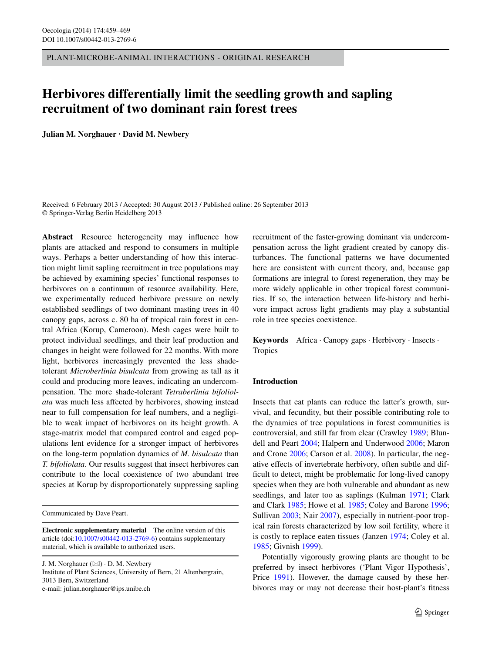PLANT-MICROBE-ANIMAL INTERACTIONS - ORIGINAL RESEARCH

# **Herbivores differentially limit the seedling growth and sapling recruitment of two dominant rain forest trees**

**Julian M. Norghauer · David M. Newbery**

Received: 6 February 2013 / Accepted: 30 August 2013 / Published online: 26 September 2013 © Springer-Verlag Berlin Heidelberg 2013

**Abstract** Resource heterogeneity may influence how plants are attacked and respond to consumers in multiple ways. Perhaps a better understanding of how this interaction might limit sapling recruitment in tree populations may be achieved by examining species' functional responses to herbivores on a continuum of resource availability. Here, we experimentally reduced herbivore pressure on newly established seedlings of two dominant masting trees in 40 canopy gaps, across c. 80 ha of tropical rain forest in central Africa (Korup, Cameroon). Mesh cages were built to protect individual seedlings, and their leaf production and changes in height were followed for 22 months. With more light, herbivores increasingly prevented the less shadetolerant *Microberlinia bisulcata* from growing as tall as it could and producing more leaves, indicating an undercompensation. The more shade-tolerant *Tetraberlinia bifoliolata* was much less affected by herbivores, showing instead near to full compensation for leaf numbers, and a negligible to weak impact of herbivores on its height growth. A stage-matrix model that compared control and caged populations lent evidence for a stronger impact of herbivores on the long-term population dynamics of *M. bisulcata* than *T. bifoliolata*. Our results suggest that insect herbivores can contribute to the local coexistence of two abundant tree species at Korup by disproportionately suppressing sapling

Communicated by Dave Peart.

**Electronic supplementary material** The online version of this article (doi[:10.1007/s00442-013-2769-6](http://dx.doi.org/10.1007/s00442-013-2769-6)) contains supplementary material, which is available to authorized users.

J. M. Norghauer  $(\boxtimes) \cdot$  D. M. Newbery

Institute of Plant Sciences, University of Bern, 21 Altenbergrain, 3013 Bern, Switzerland e-mail: julian.norghauer@ips.unibe.ch

recruitment of the faster-growing dominant via undercompensation across the light gradient created by canopy disturbances. The functional patterns we have documented here are consistent with current theory, and, because gap formations are integral to forest regeneration, they may be more widely applicable in other tropical forest communities. If so, the interaction between life-history and herbivore impact across light gradients may play a substantial role in tree species coexistence.

**Keywords** Africa · Canopy gaps · Herbivory · Insects · **Tropics** 

## **Introduction**

Insects that eat plants can reduce the latter's growth, survival, and fecundity, but their possible contributing role to the dynamics of tree populations in forest communities is controversial, and still far from clear (Crawley [1989;](#page-9-0) Blundell and Peart [2004](#page-9-1); Halpern and Underwood [2006](#page-9-2); Maron and Crone [2006](#page-9-3); Carson et al. [2008](#page-9-4)). In particular, the negative effects of invertebrate herbivory, often subtle and difficult to detect, might be problematic for long-lived canopy species when they are both vulnerable and abundant as new seedlings, and later too as saplings (Kulman [1971](#page-9-5); Clark and Clark [1985;](#page-9-6) Howe et al. [1985](#page-9-7); Coley and Barone [1996](#page-9-8); Sullivan [2003;](#page-10-0) Nair [2007\)](#page-10-1), especially in nutrient-poor tropical rain forests characterized by low soil fertility, where it is costly to replace eaten tissues (Janzen [1974](#page-9-9); Coley et al. [1985](#page-9-10); Givnish [1999](#page-9-11)).

Potentially vigorously growing plants are thought to be preferred by insect herbivores ('Plant Vigor Hypothesis', Price [1991](#page-10-2)). However, the damage caused by these herbivores may or may not decrease their host-plant's fitness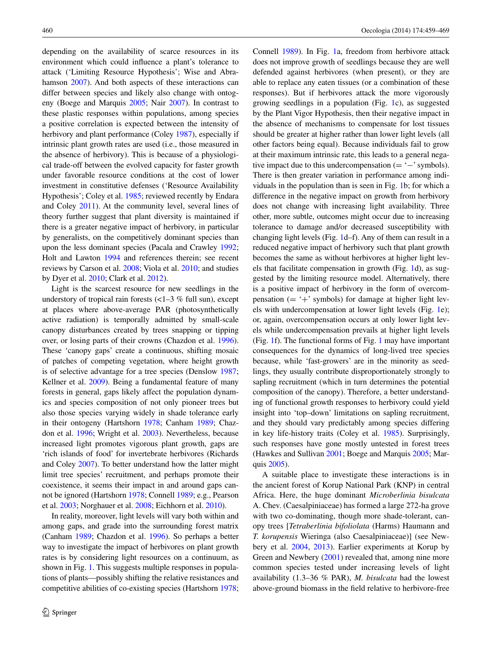depending on the availability of scarce resources in its environment which could influence a plant's tolerance to attack ('Limiting Resource Hypothesis'; Wise and Abra-hamson [2007](#page-10-3)). And both aspects of these interactions can differ between species and likely also change with ontogeny (Boege and Marquis [2005](#page-9-12); Nair [2007](#page-10-1)). In contrast to these plastic responses within populations, among species a positive correlation is expected between the intensity of herbivory and plant performance (Coley [1987\)](#page-9-13), especially if intrinsic plant growth rates are used (i.e., those measured in the absence of herbivory). This is because of a physiological trade-off between the evolved capacity for faster growth under favorable resource conditions at the cost of lower investment in constitutive defenses ('Resource Availability Hypothesis'; Coley et al. [1985](#page-9-10); reviewed recently by Endara and Coley [2011\)](#page-9-14). At the community level, several lines of theory further suggest that plant diversity is maintained if there is a greater negative impact of herbivory, in particular by generalists, on the competitively dominant species than upon the less dominant species (Pacala and Crawley [1992](#page-10-4); Holt and Lawton [1994](#page-9-15) and references therein; see recent reviews by Carson et al. [2008;](#page-9-4) Viola et al. [2010](#page-10-5); and studies by Dyer et al. [2010](#page-9-16); Clark et al. [2012\)](#page-9-17).

Light is the scarcest resource for new seedlings in the understory of tropical rain forests  $\left($  < 1–3 % full sun), except at places where above-average PAR (photosynthetically active radiation) is temporally admitted by small-scale canopy disturbances created by trees snapping or tipping over, or losing parts of their crowns (Chazdon et al. [1996](#page-9-18)). These 'canopy gaps' create a continuous, shifting mosaic of patches of competing vegetation, where height growth is of selective advantage for a tree species (Denslow [1987](#page-9-19); Kellner et al. [2009](#page-9-20)). Being a fundamental feature of many forests in general, gaps likely affect the population dynamics and species composition of not only pioneer trees but also those species varying widely in shade tolerance early in their ontogeny (Hartshorn [1978;](#page-9-21) Canham [1989](#page-9-22); Chazdon et al. [1996](#page-9-18); Wright et al. [2003](#page-10-6)). Nevertheless, because increased light promotes vigorous plant growth, gaps are 'rich islands of food' for invertebrate herbivores (Richards and Coley [2007\)](#page-10-7). To better understand how the latter might limit tree species' recruitment, and perhaps promote their coexistence, it seems their impact in and around gaps cannot be ignored (Hartshorn [1978](#page-9-21); Connell [1989;](#page-9-23) e.g., Pearson et al. [2003](#page-10-8); Norghauer et al. [2008;](#page-10-9) Eichhorn et al. [2010\)](#page-9-24).

In reality, moreover, light levels will vary both within and among gaps, and grade into the surrounding forest matrix (Canham [1989;](#page-9-22) Chazdon et al. [1996](#page-9-18)). So perhaps a better way to investigate the impact of herbivores on plant growth rates is by considering light resources on a continuum, as shown in Fig. [1](#page-2-0). This suggests multiple responses in populations of plants—possibly shifting the relative resistances and competitive abilities of co-existing species (Hartshorn [1978](#page-9-21); Connell [1989](#page-9-23)). In Fig. [1a](#page-2-0), freedom from herbivore attack does not improve growth of seedlings because they are well defended against herbivores (when present), or they are able to replace any eaten tissues (or a combination of these responses). But if herbivores attack the more vigorously growing seedlings in a population (Fig. [1c](#page-2-0)), as suggested by the Plant Vigor Hypothesis, then their negative impact in the absence of mechanisms to compensate for lost tissues should be greater at higher rather than lower light levels (all other factors being equal). Because individuals fail to grow at their maximum intrinsic rate, this leads to a general negative impact due to this undercompensation ( $= -$ ' symbols). There is then greater variation in performance among individuals in the population than is seen in Fig. [1b](#page-2-0); for which a difference in the negative impact on growth from herbivory does not change with increasing light availability. Three other, more subtle, outcomes might occur due to increasing tolerance to damage and/or decreased susceptibility with changing light levels (Fig. [1d](#page-2-0)–f). Any of them can result in a reduced negative impact of herbivory such that plant growth becomes the same as without herbivores at higher light levels that facilitate compensation in growth (Fig. [1](#page-2-0)d), as suggested by the limiting resource model. Alternatively, there is a positive impact of herbivory in the form of overcompensation  $(= +$ ' symbols) for damage at higher light levels with undercompensation at lower light levels (Fig. [1e](#page-2-0)); or, again, overcompensation occurs at only lower light levels while undercompensation prevails at higher light levels (Fig. [1](#page-2-0)f). The functional forms of Fig. [1](#page-2-0) may have important consequences for the dynamics of long-lived tree species because, while 'fast-growers' are in the minority as seedlings, they usually contribute disproportionately strongly to sapling recruitment (which in turn determines the potential composition of the canopy). Therefore, a better understanding of functional growth responses to herbivory could yield insight into 'top–down' limitations on sapling recruitment, and they should vary predictably among species differing in key life-history traits (Coley et al. [1985\)](#page-9-10). Surprisingly, such responses have gone mostly untested in forest trees (Hawkes and Sullivan [2001;](#page-9-25) Boege and Marquis [2005](#page-9-12); Marquis [2005\)](#page-9-26).

A suitable place to investigate these interactions is in the ancient forest of Korup National Park (KNP) in central Africa. Here, the huge dominant *Microberlinia bisulcata* A. Chev. (Caesalpiniaceae) has formed a large 272-ha grove with two co-dominating, though more shade-tolerant, canopy trees [*Tetraberlinia bifoliolata* (Harms) Haumann and *T. korupensis* Wieringa (also Caesalpiniaceae)] (see Newbery et al. [2004](#page-10-10), [2013\)](#page-10-11). Earlier experiments at Korup by Green and Newbery [\(2001](#page-9-27)) revealed that, among nine more common species tested under increasing levels of light availability (1.3–36 % PAR), *M. bisulcata* had the lowest above-ground biomass in the field relative to herbivore-free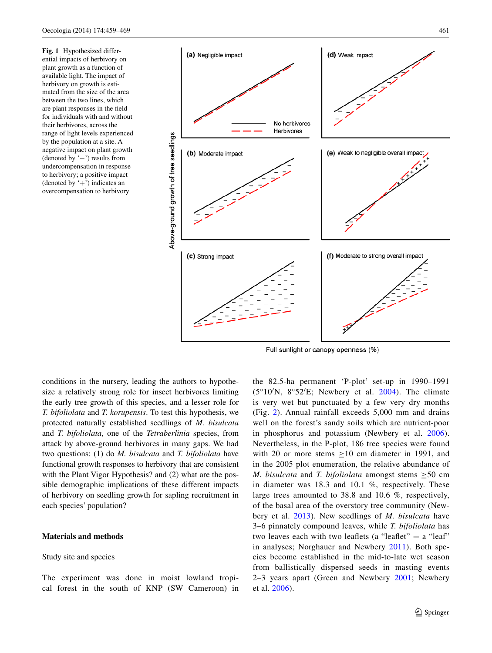<span id="page-2-0"></span>**Fig. 1** Hypothesized differential impacts of herbivory on plant growth as a function of available light. The impact of herbivory on growth is estimated from the size of the area between the two lines, which are plant responses in the field for individuals with and without their herbivores, across the range of light levels experienced by the population at a site. A negative impact on plant growth (denoted by '−') results from undercompensation in response to herbivory; a positive impact (denoted by  $+$ ) indicates an overcompensation to herbivory



Full sunlight or canopy openness (%)

conditions in the nursery, leading the authors to hypothesize a relatively strong role for insect herbivores limiting the early tree growth of this species, and a lesser role for *T. bifoliolata* and *T. korupensis*. To test this hypothesis, we protected naturally established seedlings of *M. bisulcata* and *T. bifoliolata*, one of the *Tetraberlinia* species, from attack by above-ground herbivores in many gaps. We had two questions: (1) do *M. bisulcata* and *T. bifoliolata* have functional growth responses to herbivory that are consistent with the Plant Vigor Hypothesis? and (2) what are the possible demographic implications of these different impacts of herbivory on seedling growth for sapling recruitment in each species' population?

# **Materials and methods**

# Study site and species

The experiment was done in moist lowland tropical forest in the south of KNP (SW Cameroon) in the 82.5-ha permanent 'P-plot' set-up in 1990–1991  $(5^{\circ}10^{\prime})$ N,  $8^{\circ}52^{\prime}$ E; Newbery et al. [2004\)](#page-10-10). The climate is very wet but punctuated by a few very dry months (Fig. [2\)](#page-3-0). Annual rainfall exceeds 5,000 mm and drains well on the forest's sandy soils which are nutrient-poor in phosphorus and potassium (Newbery et al. [2006](#page-10-12)). Nevertheless, in the P-plot, 186 tree species were found with 20 or more stems  $\geq 10$  cm diameter in 1991, and in the 2005 plot enumeration, the relative abundance of *M. bisulcata* and *T. bifoliolata* amongst stems ≥50 cm in diameter was 18.3 and 10.1 %, respectively. These large trees amounted to 38.8 and 10.6 %, respectively, of the basal area of the overstory tree community (Newbery et al. [2013](#page-10-11)). New seedlings of *M. bisulcata* have 3–6 pinnately compound leaves, while *T. bifoliolata* has two leaves each with two leaflets (a "leaflet"  $=$  a "leaf" in analyses; Norghauer and Newbery [2011](#page-10-13)). Both species become established in the mid-to-late wet season from ballistically dispersed seeds in masting events 2–3 years apart (Green and Newbery [2001](#page-9-27); Newbery et al. [2006](#page-10-12)).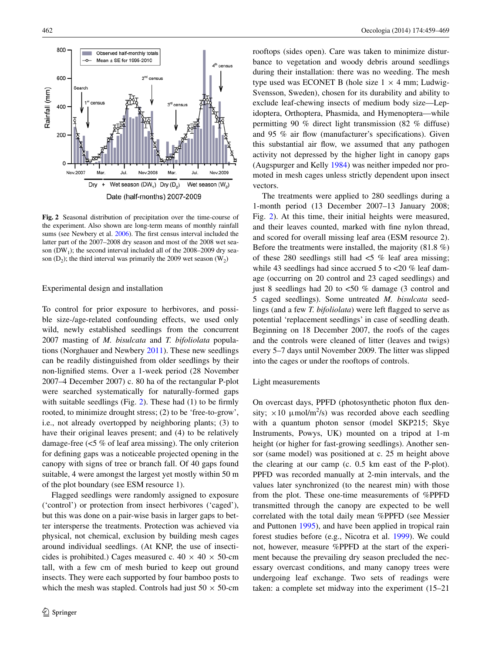

<span id="page-3-0"></span>**Fig. 2** Seasonal distribution of precipitation over the time-course of the experiment. Also shown are long-term means of monthly rainfall sums (see Newbery et al. [2006](#page-10-12)). The first census interval included the latter part of the 2007–2008 dry season and most of the 2008 wet season  $(DW_1)$ ; the second interval included all of the 2008–2009 dry season  $(D_2)$ ; the third interval was primarily the 2009 wet season  $(W_2)$ 

#### Experimental design and installation

To control for prior exposure to herbivores, and possible size-/age-related confounding effects, we used only wild, newly established seedlings from the concurrent 2007 masting of *M. bisulcata* and *T. bifoliolata* populations (Norghauer and Newbery [2011\)](#page-10-13). These new seedlings can be readily distinguished from older seedlings by their non-lignified stems. Over a 1-week period (28 November 2007–4 December 2007) c. 80 ha of the rectangular P-plot were searched systematically for naturally-formed gaps with suitable seedlings (Fig. [2\)](#page-3-0). These had  $(1)$  to be firmly rooted, to minimize drought stress; (2) to be 'free-to-grow', i.e., not already overtopped by neighboring plants; (3) to have their original leaves present; and (4) to be relatively damage-free (<5 % of leaf area missing). The only criterion for defining gaps was a noticeable projected opening in the canopy with signs of tree or branch fall. Of 40 gaps found suitable, 4 were amongst the largest yet mostly within 50 m of the plot boundary (see ESM resource 1).

Flagged seedlings were randomly assigned to exposure ('control') or protection from insect herbivores ('caged'), but this was done on a pair-wise basis in larger gaps to better intersperse the treatments. Protection was achieved via physical, not chemical, exclusion by building mesh cages around individual seedlings. (At KNP, the use of insecticides is prohibited.) Cages measured c.  $40 \times 40 \times 50$ -cm tall, with a few cm of mesh buried to keep out ground insects. They were each supported by four bamboo posts to which the mesh was stapled. Controls had just  $50 \times 50$ -cm rooftops (sides open). Care was taken to minimize disturbance to vegetation and woody debris around seedlings during their installation: there was no weeding. The mesh type used was ECONET B (hole size  $1 \times 4$  mm; Ludwig-Svensson, Sweden), chosen for its durability and ability to exclude leaf-chewing insects of medium body size—Lepidoptera, Orthoptera, Phasmida, and Hymenoptera—while permitting 90 % direct light transmission (82 % diffuse) and 95 % air flow (manufacturer's specifications). Given this substantial air flow, we assumed that any pathogen activity not depressed by the higher light in canopy gaps (Augspurger and Kelly [1984\)](#page-9-28) was neither impeded nor promoted in mesh cages unless strictly dependent upon insect vectors.

The treatments were applied to 280 seedlings during a 1-month period (13 December 2007–13 January 2008; Fig. [2](#page-3-0)). At this time, their initial heights were measured, and their leaves counted, marked with fine nylon thread, and scored for overall missing leaf area (ESM resource 2). Before the treatments were installed, the majority (81.8 %) of these 280 seedlings still had  $\lt 5$  % leaf area missing; while 43 seedlings had since accrued 5 to <20 % leaf damage (occurring on 20 control and 23 caged seedlings) and just 8 seedlings had 20 to <50 % damage (3 control and 5 caged seedlings). Some untreated *M. bisulcata* seedlings (and a few *T. bifoliolata*) were left flagged to serve as potential 'replacement seedlings' in case of seedling death. Beginning on 18 December 2007, the roofs of the cages and the controls were cleaned of litter (leaves and twigs) every 5–7 days until November 2009. The litter was slipped into the cages or under the rooftops of controls.

#### Light measurements

On overcast days, PPFD (photosynthetic photon flux density;  $\times 10 \ \mu \text{mol/m}^2/\text{s}$ ) was recorded above each seedling with a quantum photon sensor (model SKP215; Skye Instruments, Powys, UK) mounted on a tripod at 1-m height (or higher for fast-growing seedlings). Another sensor (same model) was positioned at c. 25 m height above the clearing at our camp (c. 0.5 km east of the P-plot). PPFD was recorded manually at 2-min intervals, and the values later synchronized (to the nearest min) with those from the plot. These one-time measurements of %PPFD transmitted through the canopy are expected to be well correlated with the total daily mean %PPFD (see Messier and Puttonen [1995](#page-10-14)), and have been applied in tropical rain forest studies before (e.g., Nicotra et al. [1999\)](#page-10-15). We could not, however, measure %PPFD at the start of the experiment because the prevailing dry season precluded the necessary overcast conditions, and many canopy trees were undergoing leaf exchange. Two sets of readings were taken: a complete set midway into the experiment (15–21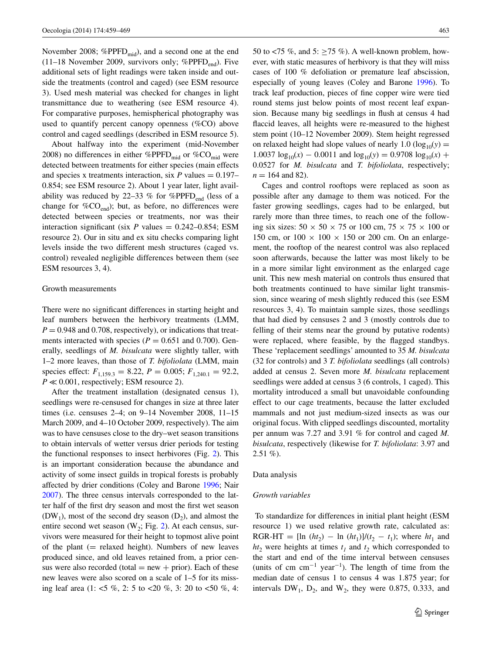November 2008; %PPFD<sub>mid</sub>), and a second one at the end (11–18 November 2009, survivors only; %PPFD $_{\text{end}}$ ). Five additional sets of light readings were taken inside and outside the treatments (control and caged) (see ESM resource 3). Used mesh material was checked for changes in light transmittance due to weathering (see ESM resource 4). For comparative purposes, hemispherical photography was used to quantify percent canopy openness (%CO) above control and caged seedlings (described in ESM resource 5).

About halfway into the experiment (mid-November 2008) no differences in either %PPFD<sub>mid</sub> or %CO<sub>mid</sub> were detected between treatments for either species (main effects and species x treatments interaction, six  $P$  values  $= 0.197 -$ 0.854; see ESM resource 2). About 1 year later, light availability was reduced by 22–33 % for %PPFD<sub>end</sub> (less of a change for  $%CO<sub>end</sub>$ ; but, as before, no differences were detected between species or treatments, nor was their interaction significant (six  $P$  values = 0.242–0.854; ESM resource 2). Our in situ and ex situ checks comparing light levels inside the two different mesh structures (caged vs. control) revealed negligible differences between them (see ESM resources 3, 4).

#### Growth measurements

There were no significant differences in starting height and leaf numbers between the herbivory treatments (LMM,  $P = 0.948$  and 0.708, respectively), or indications that treatments interacted with species ( $P = 0.651$  and 0.700). Generally, seedlings of *M. bisulcata* were slightly taller, with 1–2 more leaves, than those of *T. bifoliolata* (LMM, main species effect:  $F_{1,159,3} = 8.22$ ,  $P = 0.005$ ;  $F_{1,240,1} = 92.2$ ,  $P \ll 0.001$ , respectively; ESM resource 2).

After the treatment installation (designated census 1), seedlings were re-censused for changes in size at three later times (i.e. censuses 2–4; on 9–14 November 2008, 11–15 March 2009, and 4–10 October 2009, respectively). The aim was to have censuses close to the dry–wet season transitions to obtain intervals of wetter versus drier periods for testing the functional responses to insect herbivores (Fig. [2](#page-3-0)). This is an important consideration because the abundance and activity of some insect guilds in tropical forests is probably affected by drier conditions (Coley and Barone [1996](#page-9-8); Nair [2007\)](#page-10-1). The three census intervals corresponded to the latter half of the first dry season and most the first wet season  $(DW_1)$ , most of the second dry season  $(D_2)$ , and almost the entire second wet season ( $W_2$ ; Fig. [2\)](#page-3-0). At each census, survivors were measured for their height to topmost alive point of the plant  $(=$  relaxed height). Numbers of new leaves produced since, and old leaves retained from, a prior census were also recorded (total  $=$  new  $+$  prior). Each of these new leaves were also scored on a scale of 1–5 for its missing leaf area (1: <5 %, 2: 5 to <20 %, 3: 20 to <50 %, 4:

50 to <75 %, and 5: >75 %). A well-known problem, however, with static measures of herbivory is that they will miss cases of 100 % defoliation or premature leaf abscission, especially of young leaves (Coley and Barone [1996\)](#page-9-8). To track leaf production, pieces of fine copper wire were tied round stems just below points of most recent leaf expansion. Because many big seedlings in flush at census 4 had flaccid leaves, all heights were re-measured to the highest stem point (10–12 November 2009). Stem height regressed on relaxed height had slope values of nearly 1.0 ( $log_{10}(y)$  =  $1.0037 \log_{10}(x) - 0.0011$  and  $\log_{10}(y) = 0.9708 \log_{10}(x) +$ 0.0527 for *M. bisulcata* and *T. bifoliolata*, respectively;  $n = 164$  and 82).

Cages and control rooftops were replaced as soon as possible after any damage to them was noticed. For the faster growing seedlings, cages had to be enlarged, but rarely more than three times, to reach one of the following six sizes:  $50 \times 50 \times 75$  or 100 cm,  $75 \times 75 \times 100$  or 150 cm, or  $100 \times 100 \times 150$  or 200 cm. On an enlargement, the rooftop of the nearest control was also replaced soon afterwards, because the latter was most likely to be in a more similar light environment as the enlarged cage unit. This new mesh material on controls thus ensured that both treatments continued to have similar light transmission, since wearing of mesh slightly reduced this (see ESM resources 3, 4). To maintain sample sizes, those seedlings that had died by censuses 2 and 3 (mostly controls due to felling of their stems near the ground by putative rodents) were replaced, where feasible, by the flagged standbys. These 'replacement seedlings' amounted to 35 *M. bisulcata* (32 for controls) and 3 *T. bifoliolata* seedlings (all controls) added at census 2. Seven more *M. bisulcata* replacement seedlings were added at census 3 (6 controls, 1 caged). This mortality introduced a small but unavoidable confounding effect to our cage treatments, because the latter excluded mammals and not just medium-sized insects as was our original focus. With clipped seedlings discounted, mortality per annum was 7.27 and 3.91 % for control and caged *M. bisulcata*, respectively (likewise for *T. bifoliolata*: 3.97 and  $2.51\%$ ).

Data analysis

#### *Growth variables*

 To standardize for differences in initial plant height (ESM resource 1) we used relative growth rate, calculated as: RGR-HT = [ln  $(ht_2)$  – ln  $(ht_1)$ ]/ $(t_2 - t_1)$ ; where  $ht_1$  and  $ht_2$  were heights at times  $t_1$  and  $t_2$  which corresponded to the start and end of the time interval between censuses (units of cm cm<sup>-1</sup> year<sup>-1</sup>). The length of time from the median date of census 1 to census 4 was 1.875 year; for intervals  $DW_1$ ,  $D_2$ , and  $W_2$ , they were 0.875, 0.333, and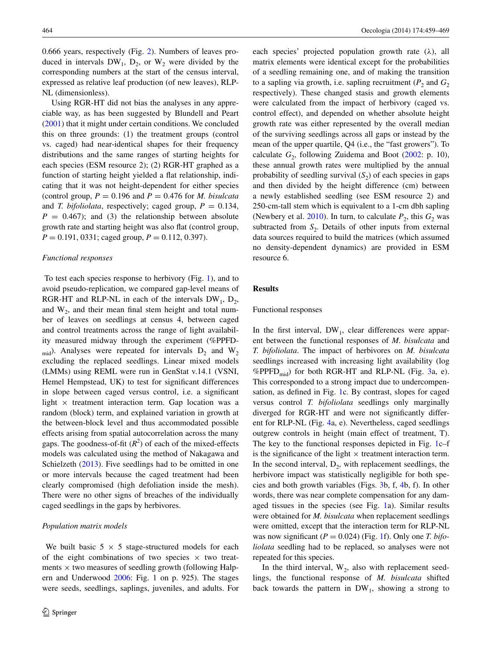0.666 years, respectively (Fig. [2](#page-3-0)). Numbers of leaves produced in intervals  $DW_1$ ,  $D_2$ , or  $W_2$  were divided by the corresponding numbers at the start of the census interval, expressed as relative leaf production (of new leaves), RLP-NL (dimensionless).

Using RGR-HT did not bias the analyses in any appreciable way, as has been suggested by Blundell and Peart [\(2001](#page-9-29)) that it might under certain conditions. We concluded this on three grounds: (1) the treatment groups (control vs. caged) had near-identical shapes for their frequency distributions and the same ranges of starting heights for each species (ESM resource 2); (2) RGR-HT graphed as a function of starting height yielded a flat relationship, indicating that it was not height-dependent for either species (control group,  $P = 0.196$  and  $P = 0.476$  for *M. bisulcata* and *T. bifoliolata*, respectively; caged group,  $P = 0.134$ ,  $P = 0.467$ ; and (3) the relationship between absolute growth rate and starting height was also flat (control group,  $P = 0.191, 0331$ ; caged group,  $P = 0.112, 0.397$ ).

#### *Functional responses*

 To test each species response to herbivory (Fig. [1\)](#page-2-0), and to avoid pseudo-replication, we compared gap-level means of RGR-HT and RLP-NL in each of the intervals  $DW_1$ ,  $D_2$ , and  $W_2$ , and their mean final stem height and total number of leaves on seedlings at census 4, between caged and control treatments across the range of light availability measured midway through the experiment (%PPFD-<sub>mid</sub>). Analyses were repeated for intervals  $D_2$  and  $W_2$ excluding the replaced seedlings. Linear mixed models (LMMs) using REML were run in GenStat v.14.1 (VSNI, Hemel Hempstead, UK) to test for significant differences in slope between caged versus control, i.e. a significant light  $\times$  treatment interaction term. Gap location was a random (block) term, and explained variation in growth at the between-block level and thus accommodated possible effects arising from spatial autocorrelation across the many gaps. The goodness-of-fit  $(R^2)$  of each of the mixed-effects models was calculated using the method of Nakagawa and Schielzeth [\(2013](#page-10-16)). Five seedlings had to be omitted in one or more intervals because the caged treatment had been clearly compromised (high defoliation inside the mesh). There were no other signs of breaches of the individually caged seedlings in the gaps by herbivores.

# *Population matrix models*

We built basic  $5 \times 5$  stage-structured models for each of the eight combinations of two species  $\times$  two treatments  $\times$  two measures of seedling growth (following Halpern and Underwood [2006:](#page-9-2) Fig. 1 on p. 925). The stages were seeds, seedlings, saplings, juveniles, and adults. For each species' projected population growth rate  $(\lambda)$ , all matrix elements were identical except for the probabilities of a seedling remaining one, and of making the transition to a sapling via growth, i.e. sapling recruitment  $(P_2 \text{ and } G_2$ respectively). These changed stasis and growth elements were calculated from the impact of herbivory (caged vs. control effect), and depended on whether absolute height growth rate was either represented by the overall median of the surviving seedlings across all gaps or instead by the mean of the upper quartile, Q4 (i.e., the "fast growers"). To calculate  $G_2$ , following Zuidema and Boot [\(2002](#page-10-17): p. 10), these annual growth rates were multiplied by the annual probability of seedling survival  $(S_2)$  of each species in gaps and then divided by the height difference (cm) between a newly established seedling (see ESM resource 2) and 250-cm-tall stem which is equivalent to a 1-cm dbh sapling (Newbery et al. [2010\)](#page-10-18). In turn, to calculate  $P_2$ , this  $G_2$  was subtracted from  $S_2$ . Details of other inputs from external data sources required to build the matrices (which assumed no density-dependent dynamics) are provided in ESM resource 6.

## **Results**

# Functional responses

In the first interval,  $DW_1$ , clear differences were apparent between the functional responses of *M. bisulcata* and *T. bifoliolata*. The impact of herbivores on *M. bisulcata* seedlings increased with increasing light availability (log %PPFD<sub>mid</sub>) for both RGR-HT and RLP-NL (Fig. [3a](#page-6-0), e). This corresponded to a strong impact due to undercompensation, as defined in Fig. [1](#page-2-0)c. By contrast, slopes for caged versus control *T. bifoliolata* seedlings only marginally diverged for RGR-HT and were not significantly different for RLP-NL (Fig. [4a](#page-6-1), e). Nevertheless, caged seedlings outgrew controls in height (main effect of treatment, T). The key to the functional responses depicted in Fig. [1](#page-2-0)c–f is the significance of the light  $\times$  treatment interaction term. In the second interval,  $D_2$ , with replacement seedlings, the herbivore impact was statistically negligible for both species and both growth variables (Figs. [3b](#page-6-0), f, [4](#page-6-1)b, f). In other words, there was near complete compensation for any damaged tissues in the species (see Fig. [1](#page-2-0)a). Similar results were obtained for *M. bisulcata* when replacement seedlings were omitted, except that the interaction term for RLP-NL was now significant  $(P = 0.024)$  (Fig. [1f](#page-2-0)). Only one *T. bifoliolata* seedling had to be replaced, so analyses were not repeated for this species.

In the third interval,  $W_2$ , also with replacement seedlings, the functional response of *M. bisulcata* shifted back towards the pattern in  $DW_1$ , showing a strong to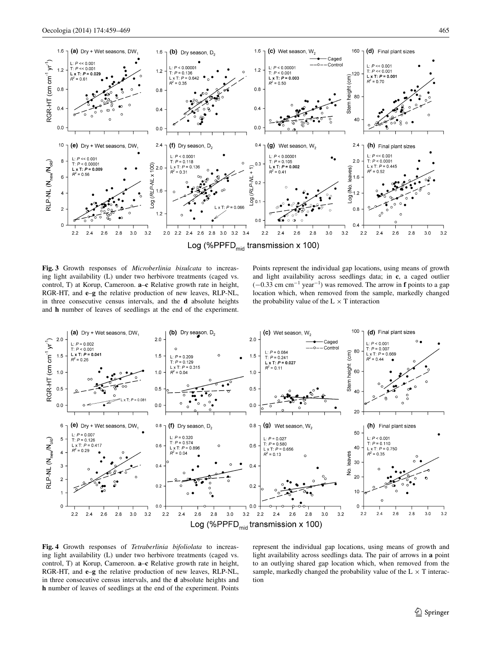

Log (%PPFD $_{mid}$  transmission x 100)

<span id="page-6-0"></span>**Fig. 3** Growth responses of *Microberlinia bisulcata* to increasing light availability (L) under two herbivore treatments (caged vs. control, T) at Korup, Cameroon. **a**–**c** Relative growth rate in height, RGR-HT, and **e**–**g** the relative production of new leaves, RLP-NL, in three consecutive census intervals, and the **d** absolute heights and **h** number of leaves of seedlings at the end of the experiment.

Points represent the individual gap locations, using means of growth and light availability across seedlings data; in **c**, a caged outlier (−0.33 cm cm−<sup>1</sup> year−<sup>1</sup> ) was removed. The arrow in **f** points to a gap location which, when removed from the sample, markedly changed the probability value of the  $L \times T$  interaction



<span id="page-6-1"></span>**Fig. 4** Growth responses of *Tetraberlinia bifoliolata* to increasing light availability (L) under two herbivore treatments (caged vs. control, T) at Korup, Cameroon. **a**–**c** Relative growth rate in height, RGR-HT, and **e**–**g** the relative production of new leaves, RLP-NL, in three consecutive census intervals, and the **d** absolute heights and **h** number of leaves of seedlings at the end of the experiment. Points represent the individual gap locations, using means of growth and light availability across seedlings data. The pair of arrows in **a** point to an outlying shared gap location which, when removed from the sample, markedly changed the probability value of the  $L \times T$  interaction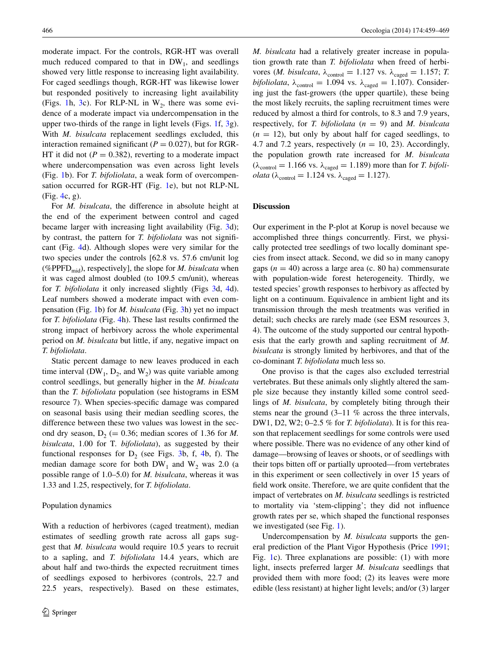moderate impact. For the controls, RGR-HT was overall much reduced compared to that in  $DW_1$ , and seedlings showed very little response to increasing light availability. For caged seedlings though, RGR-HT was likewise lower but responded positively to increasing light availability (Figs. [1h](#page-2-0), [3](#page-6-0)c). For RLP-NL in  $W_2$ , there was some evidence of a moderate impact via undercompensation in the upper two-thirds of the range in light levels (Figs. [1](#page-2-0)f, [3](#page-6-0)g). With *M. bisulcata* replacement seedlings excluded, this interaction remained significant ( $P = 0.027$ ), but for RGR-HT it did not ( $P = 0.382$ ), reverting to a moderate impact where undercompensation was even across light levels (Fig. [1b](#page-2-0)). For *T. bifoliolata*, a weak form of overcompensation occurred for RGR-HT (Fig. [1](#page-2-0)e), but not RLP-NL (Fig. [4](#page-6-1)c, g).

For *M. bisulcata*, the difference in absolute height at the end of the experiment between control and caged became larger with increasing light availability (Fig. [3](#page-6-0)d); by contrast, the pattern for *T. bifoliolata* was not significant (Fig. [4d](#page-6-1)). Although slopes were very similar for the two species under the controls [62.8 vs. 57.6 cm/unit log (%PPFD<sub>mid</sub>), respectively], the slope for *M. bisulcata* when it was caged almost doubled (to 109.5 cm/unit), whereas for *T. bifoliolata* it only increased slightly (Figs [3d](#page-6-0), [4](#page-6-1)d). Leaf numbers showed a moderate impact with even compensation (Fig. [1b](#page-2-0)) for *M. bisulcata* (Fig. [3h](#page-6-0)) yet no impact for *T. bifoliolata* (Fig. [4](#page-6-1)h). These last results confirmed the strong impact of herbivory across the whole experimental period on *M. bisulcata* but little, if any, negative impact on *T. bifoliolata*.

Static percent damage to new leaves produced in each time interval (DW<sub>1</sub>,  $D_2$ , and W<sub>2</sub>) was quite variable among control seedlings, but generally higher in the *M. bisulcata* than the *T. bifoliolata* population (see histograms in ESM resource 7). When species-specific damage was compared on seasonal basis using their median seedling scores, the difference between these two values was lowest in the second dry season,  $D_2$  (= 0.36; median scores of 1.36 for *M*. *bisulcata*, 1.00 for T*. bifoliolata*), as suggested by their functional responses for  $D_2$  (see Figs. [3b](#page-6-0), f, [4](#page-6-1)b, f). The median damage score for both  $DW_1$  and  $W_2$  was 2.0 (a possible range of 1.0–5.0) for *M. bisulcata*, whereas it was 1.33 and 1.25, respectively, for *T. bifoliolata*.

## Population dynamics

With a reduction of herbivores (caged treatment), median estimates of seedling growth rate across all gaps suggest that *M. bisulcata* would require 10.5 years to recruit to a sapling, and *T. bifoliolata* 14.4 years, which are about half and two-thirds the expected recruitment times of seedlings exposed to herbivores (controls, 22.7 and 22.5 years, respectively). Based on these estimates,

*M. bisulcata* had a relatively greater increase in population growth rate than *T. bifoliolata* when freed of herbivores (*M. bisulcata*,  $\lambda_{\text{control}} = 1.127$  vs.  $\lambda_{\text{caged}} = 1.157$ ; *T. bifoliolata*,  $\lambda_{\text{control}} = 1.094$  vs.  $\lambda_{\text{caged}} = 1.107$ ). Considering just the fast-growers (the upper quartile), these being the most likely recruits, the sapling recruitment times were reduced by almost a third for controls, to 8.3 and 7.9 years, respectively, for *T. bifoliolata* (*n* = 9) and *M. bisulcata*  $(n = 12)$ , but only by about half for caged seedlings, to 4.7 and 7.2 years, respectively  $(n = 10, 23)$ . Accordingly, the population growth rate increased for *M. bisulcata*  $(\lambda_{\text{control}} = 1.166 \text{ vs. } \lambda_{\text{caged}} = 1.189)$  more than for *T. bifoliolata* ( $\lambda_{\text{control}} = 1.124$  vs.  $\lambda_{\text{caged}} = 1.127$ ).

# **Discussion**

Our experiment in the P-plot at Korup is novel because we accomplished three things concurrently. First, we physically protected tree seedlings of two locally dominant species from insect attack. Second, we did so in many canopy gaps  $(n = 40)$  across a large area (c. 80 ha) commensurate with population-wide forest heterogeneity. Thirdly, we tested species' growth responses to herbivory as affected by light on a continuum. Equivalence in ambient light and its transmission through the mesh treatments was verified in detail; such checks are rarely made (see ESM resources 3, 4). The outcome of the study supported our central hypothesis that the early growth and sapling recruitment of *M. bisulcata* is strongly limited by herbivores, and that of the co-dominant *T. bifoliolata* much less so.

One proviso is that the cages also excluded terrestrial vertebrates. But these animals only slightly altered the sample size because they instantly killed some control seedlings of *M. bisulcata*, by completely biting through their stems near the ground (3–11 % across the three intervals, DW1, D2, W2; 0–2.5 % for *T. bifoliolata*). It is for this reason that replacement seedlings for some controls were used where possible. There was no evidence of any other kind of damage—browsing of leaves or shoots, or of seedlings with their tops bitten off or partially uprooted—from vertebrates in this experiment or seen collectively in over 15 years of field work onsite. Therefore, we are quite confident that the impact of vertebrates on *M. bisulcata* seedlings is restricted to mortality via 'stem-clipping'; they did not influence growth rates per se, which shaped the functional responses we investigated (see Fig. [1](#page-2-0)).

Undercompensation by *M. bisulcata* supports the general prediction of the Plant Vigor Hypothesis (Price [1991](#page-10-2); Fig. [1](#page-2-0)c). Three explanations are possible: (1) with more light, insects preferred larger *M. bisulcata* seedlings that provided them with more food; (2) its leaves were more edible (less resistant) at higher light levels; and/or (3) larger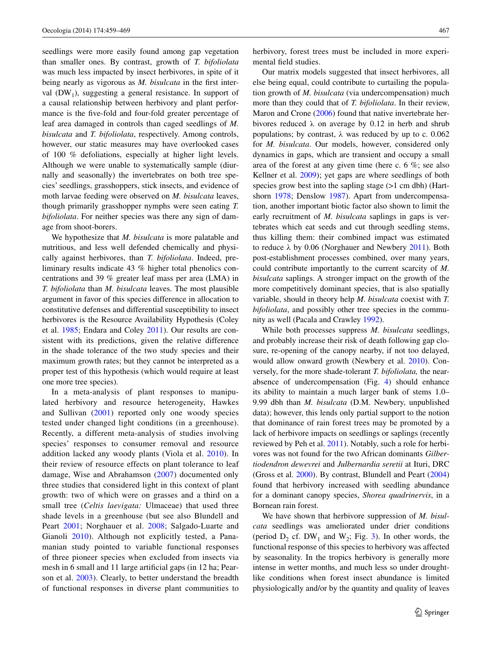seedlings were more easily found among gap vegetation than smaller ones. By contrast, growth of *T. bifoliolata* was much less impacted by insect herbivores, in spite of it being nearly as vigorous as *M. bisulcata* in the first interval  $(DW_1)$ , suggesting a general resistance. In support of a causal relationship between herbivory and plant performance is the five-fold and four-fold greater percentage of leaf area damaged in controls than caged seedlings of *M. bisulcata* and *T. bifoliolata*, respectively. Among controls, however, our static measures may have overlooked cases of 100 % defoliations, especially at higher light levels. Although we were unable to systematically sample (diurnally and seasonally) the invertebrates on both tree species' seedlings, grasshoppers, stick insects, and evidence of moth larvae feeding were observed on *M. bisulcata* leaves, though primarily grasshopper nymphs were seen eating *T. bifoliolata*. For neither species was there any sign of damage from shoot-borers.

We hypothesize that *M. bisulcata* is more palatable and nutritious, and less well defended chemically and physically against herbivores, than *T. bifoliolata*. Indeed, preliminary results indicate 43 % higher total phenolics concentrations and 39 % greater leaf mass per area (LMA) in *T. bifoliolata* than *M. bisulcata* leaves. The most plausible argument in favor of this species difference in allocation to constitutive defenses and differential susceptibility to insect herbivores is the Resource Availability Hypothesis (Coley et al. [1985;](#page-9-10) Endara and Coley [2011\)](#page-9-14). Our results are consistent with its predictions, given the relative difference in the shade tolerance of the two study species and their maximum growth rates; but they cannot be interpreted as a proper test of this hypothesis (which would require at least one more tree species).

In a meta-analysis of plant responses to manipulated herbivory and resource heterogeneity, Hawkes and Sullivan ([2001](#page-9-25)) reported only one woody species tested under changed light conditions (in a greenhouse). Recently, a different meta-analysis of studies involving species' responses to consumer removal and resource addition lacked any woody plants (Viola et al. [2010\)](#page-10-5). In their review of resource effects on plant tolerance to leaf damage, Wise and Abrahamson ([2007](#page-10-3)) documented only three studies that considered light in this context of plant growth: two of which were on grasses and a third on a small tree (*Celtis laevigata:* Ulmaceae) that used three shade levels in a greenhouse (but see also Blundell and Peart [2001](#page-9-29); Norghauer et al. [2008](#page-10-9); Salgado-Luarte and Gianoli [2010](#page-10-19)). Although not explicitly tested, a Panamanian study pointed to variable functional responses of three pioneer species when excluded from insects via mesh in 6 small and 11 large artificial gaps (in 12 ha; Pearson et al. [2003\)](#page-10-8). Clearly, to better understand the breadth of functional responses in diverse plant communities to herbivory, forest trees must be included in more experimental field studies.

Our matrix models suggested that insect herbivores, all else being equal, could contribute to curtailing the population growth of *M. bisulcata* (via undercompensation) much more than they could that of *T. bifoliolata*. In their review, Maron and Crone ([2006\)](#page-9-3) found that native invertebrate herbivores reduced  $\lambda$  on average by 0.12 in herb and shrub populations; by contrast,  $\lambda$  was reduced by up to c. 0.062 for *M. bisulcata*. Our models, however, considered only dynamics in gaps, which are transient and occupy a small area of the forest at any given time (here c. 6 %; see also Kellner et al. [2009](#page-9-20)); yet gaps are where seedlings of both species grow best into the sapling stage ( $>1$  cm dbh) (Hartshorn [1978](#page-9-21); Denslow [1987\)](#page-9-19). Apart from undercompensation, another important biotic factor also shown to limit the early recruitment of *M. bisulcata* saplings in gaps is vertebrates which eat seeds and cut through seedling stems, thus killing them: their combined impact was estimated to reduce  $\lambda$  by 0.06 (Norghauer and Newbery [2011\)](#page-10-13). Both post-establishment processes combined, over many years, could contribute importantly to the current scarcity of *M. bisulcata* saplings. A stronger impact on the growth of the more competitively dominant species, that is also spatially variable, should in theory help *M. bisulcata* coexist with *T. bifoliolata*, and possibly other tree species in the community as well (Pacala and Crawley [1992\)](#page-10-4).

While both processes suppress *M. bisulcata* seedlings, and probably increase their risk of death following gap closure, re-opening of the canopy nearby, if not too delayed, would allow onward growth (Newbery et al. [2010\)](#page-10-18). Conversely, for the more shade-tolerant *T. bifoliolata,* the nearabsence of undercompensation (Fig. [4\)](#page-6-1) should enhance its ability to maintain a much larger bank of stems 1.0– 9.99 dbh than *M. bisulcata* (D.M. Newbery, unpublished data); however, this lends only partial support to the notion that dominance of rain forest trees may be promoted by a lack of herbivore impacts on seedlings or saplings (recently reviewed by Peh et al. [2011](#page-10-20)). Notably, such a role for herbivores was not found for the two African dominants *Gilbertiodendron dewevrei* and *Julbernardia seretii* at Ituri, DRC (Gross et al. [2000\)](#page-9-30). By contrast, Blundell and Peart ([2004\)](#page-9-1) found that herbivory increased with seedling abundance for a dominant canopy species, *Shorea quadrinervis*, in a Bornean rain forest.

We have shown that herbivore suppression of *M. bisulcata* seedlings was ameliorated under drier conditions (period  $D_2$  cf. DW<sub>1</sub> and W<sub>2</sub>; Fig. [3\)](#page-6-0). In other words, the functional response of this species to herbivory was affected by seasonality. In the tropics herbivory is generally more intense in wetter months, and much less so under droughtlike conditions when forest insect abundance is limited physiologically and/or by the quantity and quality of leaves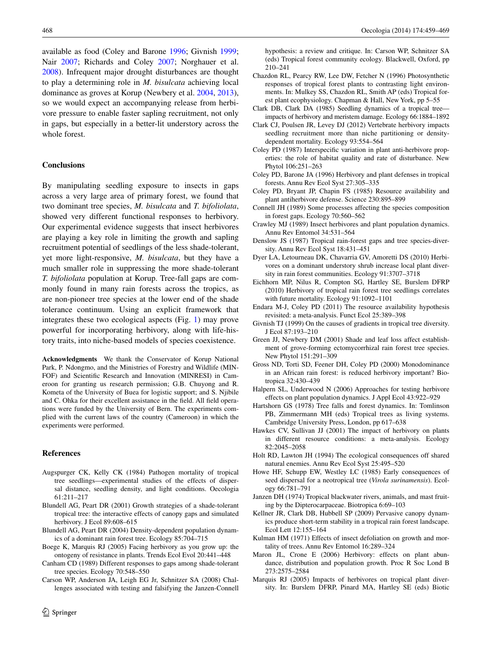available as food (Coley and Barone [1996](#page-9-8); Givnish [1999](#page-9-11); Nair [2007;](#page-10-1) Richards and Coley [2007](#page-10-7); Norghauer et al. [2008](#page-10-9)). Infrequent major drought disturbances are thought to play a determining role in *M. bisulcata* achieving local dominance as groves at Korup (Newbery et al. [2004](#page-10-10), [2013](#page-10-11)), so we would expect an accompanying release from herbivore pressure to enable faster sapling recruitment, not only in gaps, but especially in a better-lit understory across the whole forest.

# **Conclusions**

By manipulating seedling exposure to insects in gaps across a very large area of primary forest, we found that two dominant tree species, *M. bisulcata* and *T. bifoliolata*, showed very different functional responses to herbivory. Our experimental evidence suggests that insect herbivores are playing a key role in limiting the growth and sapling recruitment potential of seedlings of the less shade-tolerant, yet more light-responsive, *M. bisulcata*, but they have a much smaller role in suppressing the more shade-tolerant *T. bifoliolata* population at Korup. Tree-fall gaps are commonly found in many rain forests across the tropics, as are non-pioneer tree species at the lower end of the shade tolerance continuum. Using an explicit framework that integrates these two ecological aspects (Fig. [1](#page-2-0)) may prove powerful for incorporating herbivory, along with life-history traits, into niche-based models of species coexistence.

**Acknowledgments** We thank the Conservator of Korup National Park, P. Ndongmo, and the Ministries of Forestry and Wildlife (MIN-FOF) and Scientific Research and Innovation (MINRESI) in Cameroon for granting us research permission; G.B. Chuyong and R. Kometa of the University of Buea for logistic support; and S. Njibile and C. Ohka for their excellent assistance in the field. All field operations were funded by the University of Bern. The experiments complied with the current laws of the country (Cameroon) in which the experiments were performed.

# **References**

- <span id="page-9-28"></span>Augspurger CK, Kelly CK (1984) Pathogen mortality of tropical tree seedlings—experimental studies of the effects of dispersal distance, seedling density, and light conditions. Oecologia 61:211–217
- <span id="page-9-29"></span>Blundell AG, Peart DR (2001) Growth strategies of a shade-tolerant tropical tree: the interactive effects of canopy gaps and simulated herbivory. J Ecol 89:608–615
- <span id="page-9-1"></span>Blundell AG, Peart DR (2004) Density-dependent population dynamics of a dominant rain forest tree. Ecology 85:704–715
- <span id="page-9-12"></span>Boege K, Marquis RJ (2005) Facing herbivory as you grow up: the ontogeny of resistance in plants. Trends Ecol Evol 20:441–448
- <span id="page-9-22"></span>Canham CD (1989) Different responses to gaps among shade-tolerant tree species. Ecology 70:548–550
- <span id="page-9-4"></span>Carson WP, Anderson JA, Leigh EG Jr, Schnitzer SA (2008) Challenges associated with testing and falsifying the Janzen-Connell

hypothesis: a review and critique. In: Carson WP, Schnitzer SA (eds) Tropical forest community ecology. Blackwell, Oxford, pp 210–241

- <span id="page-9-18"></span>Chazdon RL, Pearcy RW, Lee DW, Fetcher N (1996) Photosynthetic responses of tropical forest plants to contrasting light environments. In: Mulkey SS, Chazdon RL, Smith AP (eds) Tropical forest plant ecophysiology. Chapman & Hall, New York, pp 5–55
- <span id="page-9-6"></span>Clark DB, Clark DA (1985) Seedling dynamics of a tropical tree impacts of herbivory and meristem damage. Ecology 66:1884–1892
- <span id="page-9-17"></span>Clark CJ, Poulsen JR, Levey DJ (2012) Vertebrate herbivory impacts seedling recruitment more than niche partitioning or densitydependent mortality. Ecology 93:554–564
- <span id="page-9-13"></span>Coley PD (1987) Interspecific variation in plant anti-herbivore properties: the role of habitat quality and rate of disturbance. New Phytol 106:251–263
- <span id="page-9-8"></span>Coley PD, Barone JA (1996) Herbivory and plant defenses in tropical forests. Annu Rev Ecol Syst 27:305–335
- <span id="page-9-10"></span>Coley PD, Bryant JP, Chapin FS (1985) Resource availability and plant antiherbivore defense. Science 230:895–899
- <span id="page-9-23"></span>Connell JH (1989) Some processes affecting the species composition in forest gaps. Ecology 70:560–562
- <span id="page-9-0"></span>Crawley MJ (1989) Insect herbivores and plant population dynamics. Annu Rev Entomol 34:531–564
- <span id="page-9-19"></span>Denslow JS (1987) Tropical rain-forest gaps and tree species-diversity. Annu Rev Ecol Syst 18:431–451
- <span id="page-9-16"></span>Dyer LA, Letourneau DK, Chavarria GV, Amoretti DS (2010) Herbivores on a dominant understory shrub increase local plant diversity in rain forest communities. Ecology 91:3707–3718
- <span id="page-9-24"></span>Eichhorn MP, Nilus R, Compton SG, Hartley SE, Burslem DFRP (2010) Herbivory of tropical rain forest tree seedlings correlates with future mortality. Ecology 91:1092–1101
- <span id="page-9-14"></span>Endara M-J, Coley PD (2011) The resource availability hypothesis revisited: a meta-analysis. Funct Ecol 25:389–398
- <span id="page-9-11"></span>Givnish TJ (1999) On the causes of gradients in tropical tree diversity. J Ecol 87:193–210
- <span id="page-9-27"></span>Green JJ, Newbery DM (2001) Shade and leaf loss affect establishment of grove-forming ectomycorrhizal rain forest tree species. New Phytol 151:291–309
- <span id="page-9-30"></span>Gross ND, Torti SD, Feener DH, Coley PD (2000) Monodominance in an African rain forest: is reduced herbivory important? Biotropica 32:430–439
- <span id="page-9-2"></span>Halpern SL, Underwood N (2006) Approaches for testing herbivore effects on plant population dynamics. J Appl Ecol 43:922–929
- <span id="page-9-21"></span>Hartshorn GS (1978) Tree falls and forest dynamics. In: Tomlinson PB, Zimmermann MH (eds) Tropical trees as living systems. Cambridge University Press, London, pp 617–638
- <span id="page-9-25"></span>Hawkes CV, Sullivan JJ (2001) The impact of herbivory on plants in different resource conditions: a meta-analysis. Ecology 82:2045–2058
- <span id="page-9-15"></span>Holt RD, Lawton JH (1994) The ecological consequences off shared natural enemies. Annu Rev Ecol Syst 25:495–520
- <span id="page-9-7"></span>Howe HF, Schupp EW, Westley LC (1985) Early consequences of seed dispersal for a neotropical tree (*Virola surinamensis*). Ecology 66:781–791
- <span id="page-9-9"></span>Janzen DH (1974) Tropical blackwater rivers, animals, and mast fruiting by the Dipterocarpaceae. Biotropica 6:69–103
- <span id="page-9-20"></span>Kellner JR, Clark DB, Hubbell SP (2009) Pervasive canopy dynamics produce short-term stability in a tropical rain forest landscape. Ecol Lett 12:155–164
- <span id="page-9-5"></span>Kulman HM (1971) Effects of insect defoliation on growth and mortality of trees. Annu Rev Entomol 16:289–324
- <span id="page-9-3"></span>Maron JL, Crone E (2006) Herbivory: effects on plant abundance, distribution and population growth. Proc R Soc Lond B 273:2575–2584
- <span id="page-9-26"></span>Marquis RJ (2005) Impacts of herbivores on tropical plant diversity. In: Burslem DFRP, Pinard MA, Hartley SE (eds) Biotic